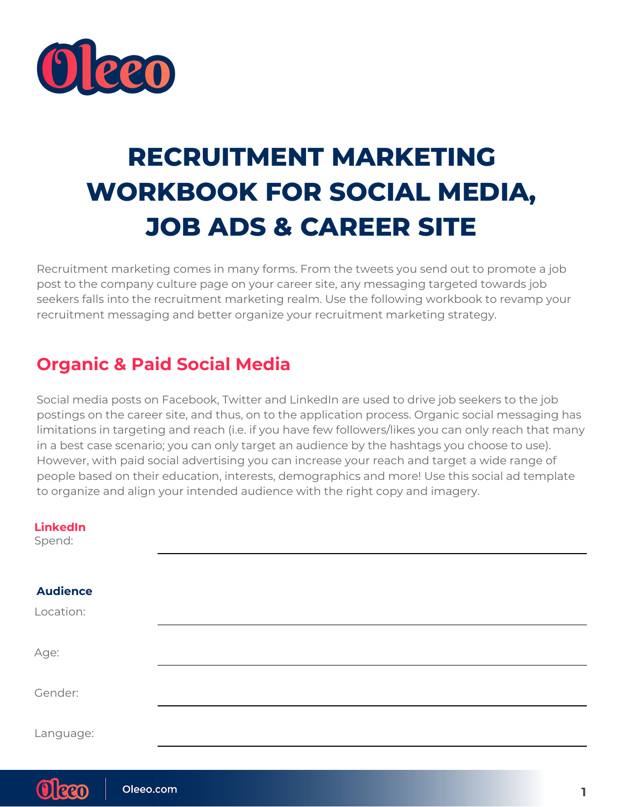

# **RECRUITMENT MARKETING WORKBOOK FOR SOCIAL MEDIA, JOB ADS & CAREER SITE**

Recruitment marketing comes in many forms. From the tweets you send out to promote a job post to the company culture page on your career site, any messaging targeted towards job seekers falls into the recruitment marketing realm. Use the following workbook to revamp your recruitment messaging and better organize your recruitment marketing strategy.

## **Organic & Paid Social Media**

Social media posts on Facebook, Twitter and LinkedIn are used to drive job seekers to the job postings on the career site, and thus, on to the application process. Organic social messaging has limitations in targeting and reach (i.e. if you have few followers/likes you can only reach that many in a best case scenario; you can only target an audience by the hashtags you choose to use). However, with paid social advertising you can increase your reach and target a wide range of people based on their education, interests, demographics and more! Use this social ad template to organize and align your intended audience with the right copy and imagery.

| <b>LinkedIn</b><br>Spend: |  |  |  |
|---------------------------|--|--|--|
|                           |  |  |  |
| <b>Audience</b>           |  |  |  |
| Location:                 |  |  |  |
| Age:                      |  |  |  |
| Gender:                   |  |  |  |
| Language:                 |  |  |  |
|                           |  |  |  |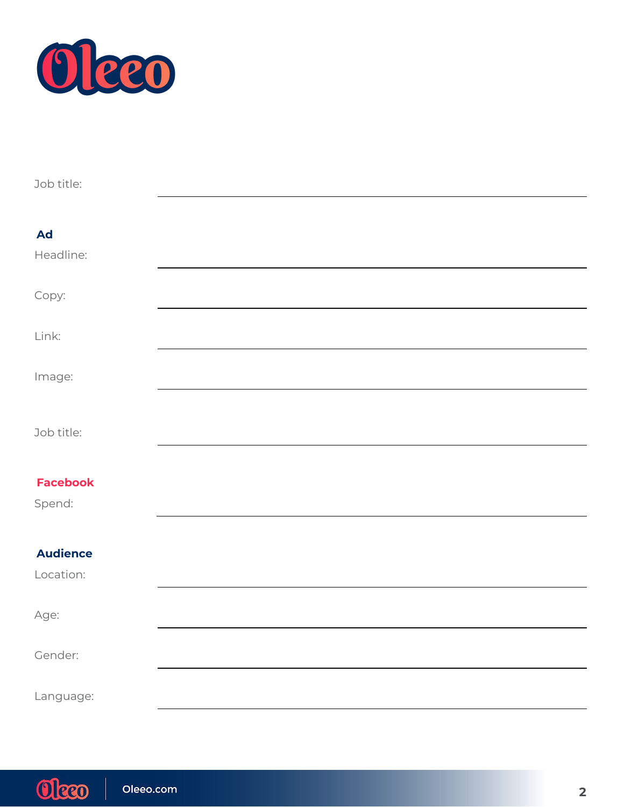

| Job title:      |  |  |
|-----------------|--|--|
|                 |  |  |
| <b>Ad</b>       |  |  |
| Headline:       |  |  |
| Copy:           |  |  |
| Link:           |  |  |
| Image:          |  |  |
|                 |  |  |
| Job title:      |  |  |
|                 |  |  |
| <b>Facebook</b> |  |  |
| Spend:          |  |  |
|                 |  |  |
| <b>Audience</b> |  |  |
| Location:       |  |  |
| Age:            |  |  |
| Gender:         |  |  |
| Language:       |  |  |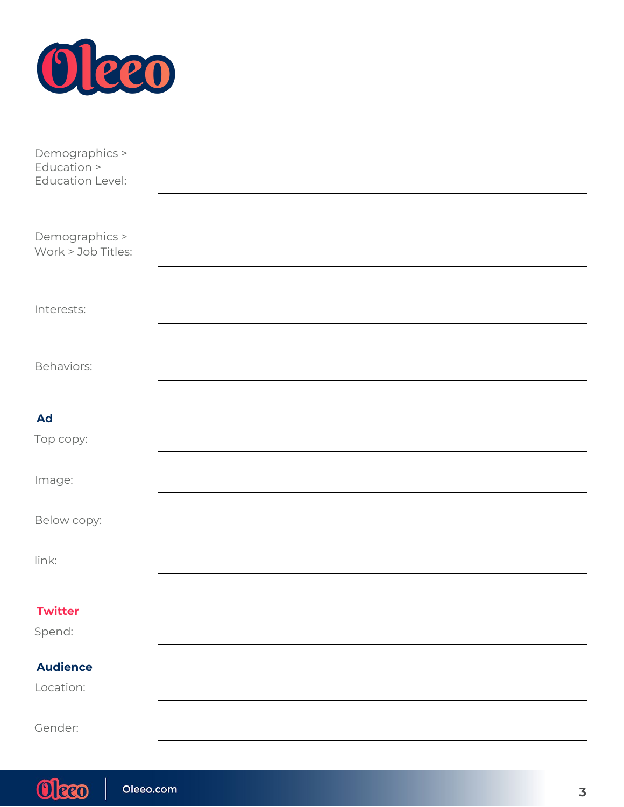

| Demographics ><br>Education ><br><b>Education Level:</b> |  |  |
|----------------------------------------------------------|--|--|
| Demographics >                                           |  |  |
| Work > Job Titles:                                       |  |  |
| Interests:                                               |  |  |
| Behaviors:                                               |  |  |
| <b>Ad</b>                                                |  |  |
| Top copy:                                                |  |  |
| Image:                                                   |  |  |
| Below copy:                                              |  |  |
| link:                                                    |  |  |
| <b>Twitter</b>                                           |  |  |
| Spend:                                                   |  |  |
| <b>Audience</b>                                          |  |  |
| Location:                                                |  |  |
| Gender:                                                  |  |  |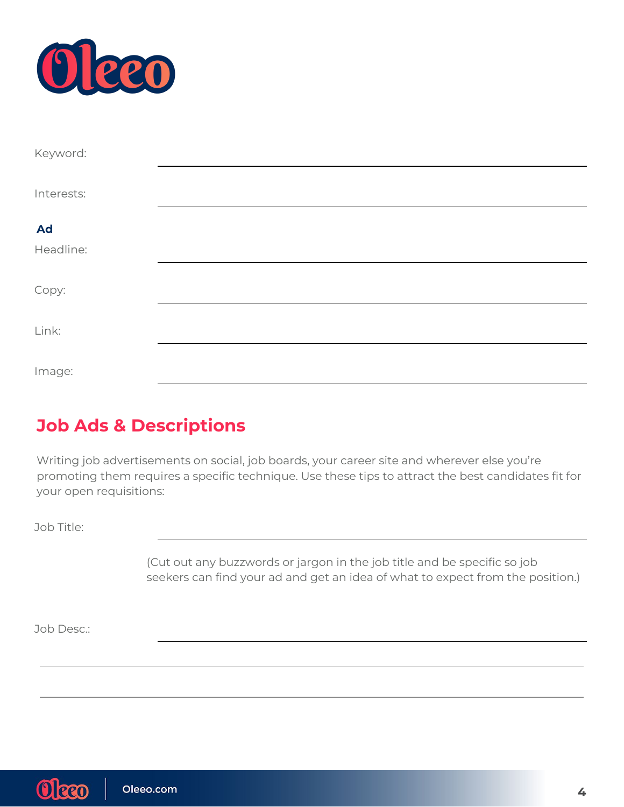

| Keyword:   |  |  |
|------------|--|--|
| Interests: |  |  |
|            |  |  |
| <b>Ad</b>  |  |  |
| Headline:  |  |  |
|            |  |  |
| Copy:      |  |  |
|            |  |  |
| Link:      |  |  |
|            |  |  |
| Image:     |  |  |

#### **Job Ads & Descriptions**

Writing job advertisements on social, job boards, your career site and wherever else you're promoting them requires a specific technique. Use these tips to attract the best candidates fit for your open requisitions:

Job Title:

(Cut out any buzzwords or jargon in the job title and be specific so job seekers can find your ad and get an idea of what to expect from the position.)

Job Desc.: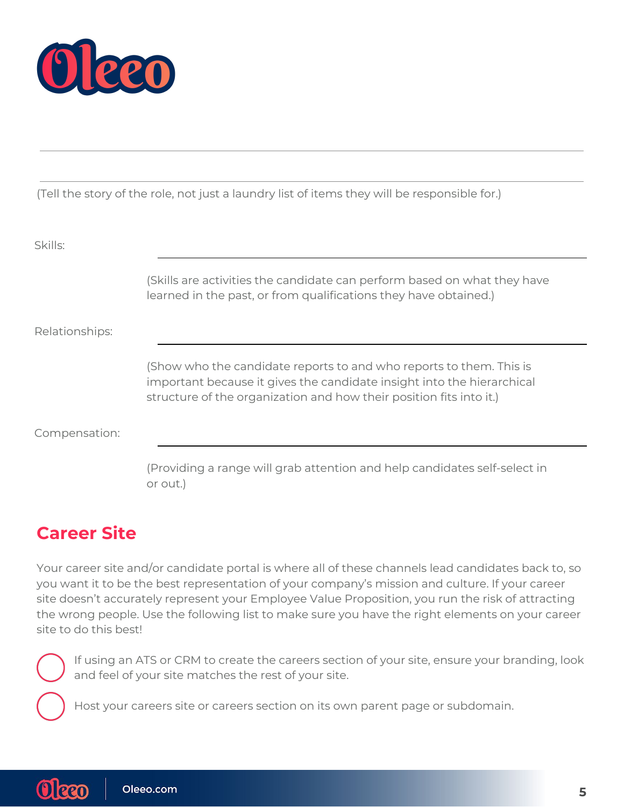

(Tell the story of the role, not just a laundry list of items they will be responsible for.)

| Skills:        |                                                                                                                                                                                                                      |
|----------------|----------------------------------------------------------------------------------------------------------------------------------------------------------------------------------------------------------------------|
|                | (Skills are activities the candidate can perform based on what they have<br>learned in the past, or from qualifications they have obtained.)                                                                         |
| Relationships: |                                                                                                                                                                                                                      |
|                | (Show who the candidate reports to and who reports to them. This is<br>important because it gives the candidate insight into the hierarchical<br>structure of the organization and how their position fits into it.) |
| Compensation:  |                                                                                                                                                                                                                      |
|                | (Providing a range will grab attention and help candidates self-select in                                                                                                                                            |

## **Career Site**

or out.)

Your career site and/or candidate portal is where all of these channels lead candidates back to, so you want it to be the best representation of your company's mission and culture. If your career site doesn't accurately represent your Employee Value Proposition, you run the risk of attracting the wrong people. Use the following list to make sure you have the right elements on your career site to do this best!



Oleeo

If using an ATS or CRM to create the careers section of your site, ensure your branding, look and feel of your site matches the rest of your site.

Host your careers site or careers section on its own parent page or subdomain.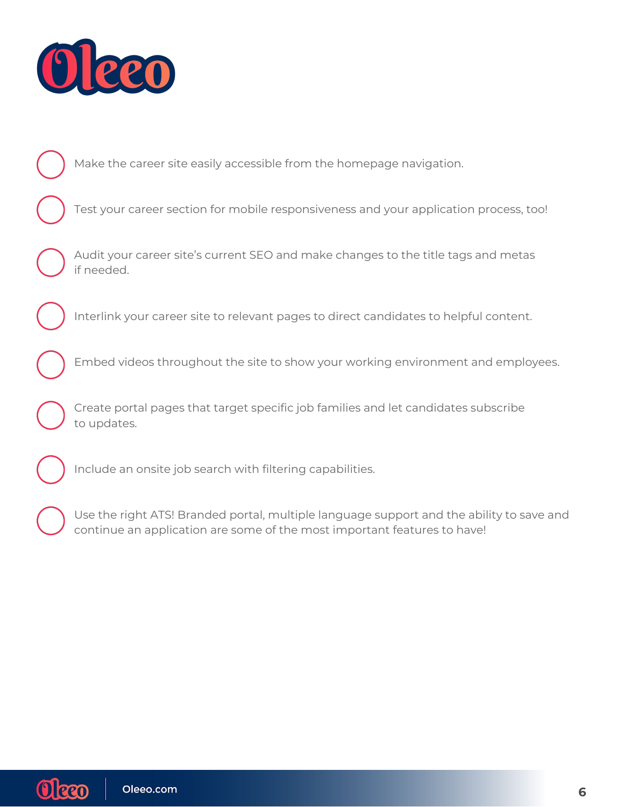

Make the career site easily accessible from the homepage navigation.

Test your career section for mobile responsiveness and your application process, too!

Audit your career site's current SEO and make changes to the title tags and metas if needed.

Interlink your career site to relevant pages to direct candidates to helpful content.

Embed videos throughout the site to show your working environment and employees.

Create portal pages that target specific job families and let candidates subscribe to updates.

Include an onsite job search with filtering capabilities.

Use the right ATS! Branded portal, multiple language support and the ability to save and continue an application are some of the most important features to have!